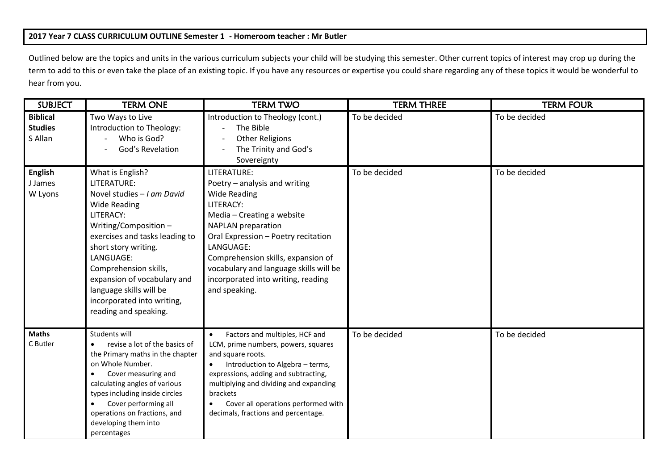## **2017 Year 7 CLASS CURRICULUM OUTLINE Semester 1 - Homeroom teacher : Mr Butler**

Outlined below are the topics and units in the various curriculum subjects your child will be studying this semester. Other current topics of interest may crop up during the term to add to this or even take the place of an existing topic. If you have any resources or expertise you could share regarding any of these topics it would be wonderful to hear from you.

| <b>SUBJECT</b>                               | <b>TERM ONE</b>                                                                                                                                                                                                                                                                                                                            | <b>TERM TWO</b>                                                                                                                                                                                                                                                                                                                        | <b>TERM THREE</b> | <b>TERM FOUR</b> |
|----------------------------------------------|--------------------------------------------------------------------------------------------------------------------------------------------------------------------------------------------------------------------------------------------------------------------------------------------------------------------------------------------|----------------------------------------------------------------------------------------------------------------------------------------------------------------------------------------------------------------------------------------------------------------------------------------------------------------------------------------|-------------------|------------------|
| <b>Biblical</b><br><b>Studies</b><br>S Allan | Two Ways to Live<br>Introduction to Theology:<br>Who is God?<br>God's Revelation                                                                                                                                                                                                                                                           | Introduction to Theology (cont.)<br>The Bible<br><b>Other Religions</b><br>The Trinity and God's<br>Sovereignty                                                                                                                                                                                                                        | To be decided     | To be decided    |
| <b>English</b><br>J James<br>W Lyons         | What is English?<br>LITERATURE:<br>Novel studies - I am David<br><b>Wide Reading</b><br>LITERACY:<br>Writing/Composition-<br>exercises and tasks leading to<br>short story writing.<br>LANGUAGE:<br>Comprehension skills,<br>expansion of vocabulary and<br>language skills will be<br>incorporated into writing,<br>reading and speaking. | LITERATURE:<br>Poetry - analysis and writing<br><b>Wide Reading</b><br>LITERACY:<br>Media - Creating a website<br><b>NAPLAN</b> preparation<br>Oral Expression - Poetry recitation<br>LANGUAGE:<br>Comprehension skills, expansion of<br>vocabulary and language skills will be<br>incorporated into writing, reading<br>and speaking. | To be decided     | To be decided    |
| <b>Maths</b><br>C Butler                     | Students will<br>revise a lot of the basics of<br>the Primary maths in the chapter<br>on Whole Number.<br>Cover measuring and<br>calculating angles of various<br>types including inside circles<br>Cover performing all<br>operations on fractions, and<br>developing them into<br>percentages                                            | Factors and multiples, HCF and<br>$\bullet$<br>LCM, prime numbers, powers, squares<br>and square roots.<br>Introduction to Algebra - terms,<br>$\bullet$<br>expressions, adding and subtracting,<br>multiplying and dividing and expanding<br>brackets<br>Cover all operations performed with<br>decimals, fractions and percentage.   | To be decided     | To be decided    |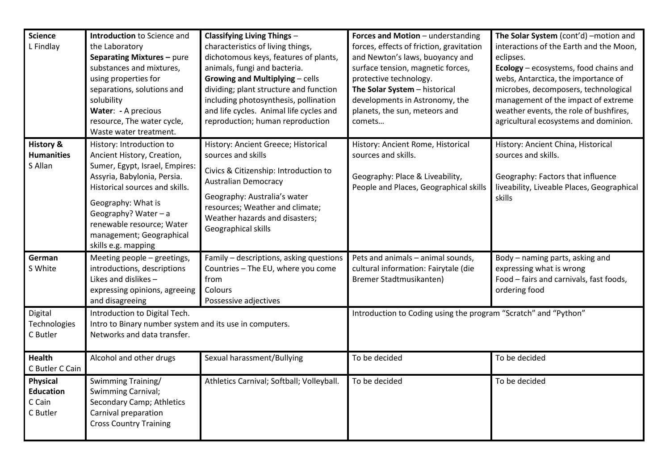| <b>Science</b><br>L Findlay                               | Introduction to Science and<br>the Laboratory<br>Separating Mixtures - pure<br>substances and mixtures,<br>using properties for<br>separations, solutions and<br>solubility<br>Water: - A precious<br>resource, The water cycle,<br>Waste water treatment.                              | <b>Classifying Living Things -</b><br>characteristics of living things,<br>dichotomous keys, features of plants,<br>animals, fungi and bacteria.<br><b>Growing and Multiplying - cells</b><br>dividing; plant structure and function<br>including photosynthesis, pollination<br>and life cycles. Animal life cycles and<br>reproduction; human reproduction | Forces and Motion - understanding<br>forces, effects of friction, gravitation<br>and Newton's laws, buoyancy and<br>surface tension, magnetic forces,<br>protective technology.<br>The Solar System - historical<br>developments in Astronomy, the<br>planets, the sun, meteors and<br>comets | The Solar System (cont'd) -motion and<br>interactions of the Earth and the Moon,<br>eclipses.<br>Ecology - ecosystems, food chains and<br>webs, Antarctica, the importance of<br>microbes, decomposers, technological<br>management of the impact of extreme<br>weather events, the role of bushfires,<br>agricultural ecosystems and dominion. |
|-----------------------------------------------------------|-----------------------------------------------------------------------------------------------------------------------------------------------------------------------------------------------------------------------------------------------------------------------------------------|--------------------------------------------------------------------------------------------------------------------------------------------------------------------------------------------------------------------------------------------------------------------------------------------------------------------------------------------------------------|-----------------------------------------------------------------------------------------------------------------------------------------------------------------------------------------------------------------------------------------------------------------------------------------------|-------------------------------------------------------------------------------------------------------------------------------------------------------------------------------------------------------------------------------------------------------------------------------------------------------------------------------------------------|
| <b>History &amp;</b><br><b>Humanities</b><br>S Allan      | History: Introduction to<br>Ancient History, Creation,<br>Sumer, Egypt, Israel, Empires:<br>Assyria, Babylonia, Persia.<br>Historical sources and skills.<br>Geography: What is<br>Geography? Water - a<br>renewable resource; Water<br>management; Geographical<br>skills e.g. mapping | History: Ancient Greece; Historical<br>sources and skills<br>Civics & Citizenship: Introduction to<br><b>Australian Democracy</b><br>Geography: Australia's water<br>resources; Weather and climate;<br>Weather hazards and disasters;<br>Geographical skills                                                                                                | History: Ancient Rome, Historical<br>sources and skills.<br>Geography: Place & Liveability,<br>People and Places, Geographical skills                                                                                                                                                         | History: Ancient China, Historical<br>sources and skills.<br>Geography: Factors that influence<br>liveability, Liveable Places, Geographical<br>skills                                                                                                                                                                                          |
| German<br>S White                                         | Meeting people - greetings,<br>introductions, descriptions<br>Likes and dislikes -<br>expressing opinions, agreeing<br>and disagreeing                                                                                                                                                  | Family - descriptions, asking questions<br>Countries - The EU, where you come<br>from<br>Colours<br>Possessive adjectives                                                                                                                                                                                                                                    | Pets and animals - animal sounds,<br>cultural information: Fairytale (die<br>Bremer Stadtmusikanten)                                                                                                                                                                                          | Body - naming parts, asking and<br>expressing what is wrong<br>Food - fairs and carnivals, fast foods,<br>ordering food                                                                                                                                                                                                                         |
| Digital<br>Technologies<br>C Butler                       | Introduction to Digital Tech.<br>Intro to Binary number system and its use in computers.<br>Networks and data transfer.                                                                                                                                                                 |                                                                                                                                                                                                                                                                                                                                                              | Introduction to Coding using the program "Scratch" and "Python"                                                                                                                                                                                                                               |                                                                                                                                                                                                                                                                                                                                                 |
| <b>Health</b><br>C Butler C Cain                          | Alcohol and other drugs                                                                                                                                                                                                                                                                 | Sexual harassment/Bullying                                                                                                                                                                                                                                                                                                                                   | To be decided                                                                                                                                                                                                                                                                                 | To be decided                                                                                                                                                                                                                                                                                                                                   |
| <b>Physical</b><br><b>Education</b><br>C Cain<br>C Butler | Swimming Training/<br>Swimming Carnival;<br>Secondary Camp; Athletics<br>Carnival preparation<br><b>Cross Country Training</b>                                                                                                                                                          | Athletics Carnival; Softball; Volleyball.                                                                                                                                                                                                                                                                                                                    | To be decided                                                                                                                                                                                                                                                                                 | To be decided                                                                                                                                                                                                                                                                                                                                   |